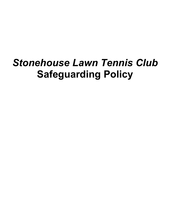# *Stonehouse Lawn Tennis Club* **Safeguarding Policy**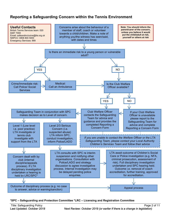## **Reporting a Safeguarding Concern within the Tennis Environment**



#### **\*SPC – Safeguarding and Protection Committee \*LRC – Licensing and Registration Committee**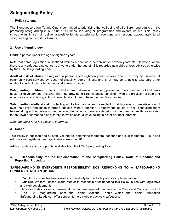# **Safeguarding Policy**

#### **1. Policy statement**

The Stonehouse Lawn Tennis Club is committed to prioritising the well-being of all children and adults at risk, promoting safeguarding in our club at all times, including all programmes and events we run. This Policy strives to minimise risk, deliver a positive tennis experience for everyone and respond appropriately to all safeguarding concerns/disclosures.

#### **2. Use of terminology**

**Child:** a person under the age of eighteen years.

Note that some legislation in Scotland defines a child as a person under sixteen years old. However, where there is any safeguarding concern, anyone under the age of 18 is regarded as a child unless advised otherwise by the LTA Safeguarding Team.

**Adult at risk of abuse or neglect:** a person aged eighteen years or over who is, or may be, in need of community care services by reason of disability, age or illness; and is, or may be, unable to take care of, or unable to protect him or herself against abuse or neglect.

**Safeguarding children:** protecting children from abuse and neglect, preventing the impairment of children's health or development, ensuring that they grow up in circumstances consistent with the provision of safe and effective care, and taking action to enable all children to have the best life chances.

**Safeguarding adults at risk:** protecting adults from abuse and/or neglect. Enabling adults to maintain control over their lives and make informed choices without coercion. Empowering adults at risk, consulting them before taking action, unless someone lacks the capacity to make a decision, or their mental health poses a risk to their own or someone else's safety, in which case, always acting in his or her best interests.

*(See appendix A for full glossary of terms)*.

#### **3. Scope**

This Policy is applicable to all staff, volunteers, committee members, coaches and club members. It is in line with national legislation and applicable across the UK.

Advice, guidance and support is available from the LTA Safeguarding Team.

#### **4. Responsibility for the implementation of the Safeguarding Policy, Code of Conduct and Reporting Procedure**

#### **SAFEGUARDING IS EVERYONE'S RESPONSIBILITY: NOT RESPONDING TO A SAFEGUARDING CONCERN IS NOT AN OPTION.**

- Our club's committee has overall accountability for this Policy and its implementation
- Our club Welfare Officer Hilarie Medler is responsible for updating this Policy in line with legislative and club developments
- All individuals involved in/present at the club are required to adhere to the Policy and Code of Conduct
- The LTA Safeguarding Team and Tennis Scotland, Tennis Wales and Tennis Foundation Safeguarding Leads can offer support to help clubs proactively safeguard.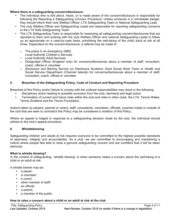#### **Where there is a safeguarding concern/disclosure:**

- The individual who is told about, hears, or is made aware of the concern/disclosure is responsible for following the Reporting a Safeguarding Concern Procedure. Unless someone is in immediate danger, they should inform their club Welfare Officer, LTA Safeguarding Team or National Safeguarding Lead.
- The club Welfare Officer and Safeguarding Leads are responsible for reporting safeguarding concerns to the LTA Safe Safeguarding Team.
- The LTA Safeguarding Team is responsible for assessing all safeguarding concern/disclosures that are reported to them and working with the club Welfare Officer and national Safeguarding Leads to follow up as appropriate on a case-by-case basis, prioritising the well-being of the child/ adult at risk at all times. Dependent on the concern/disclosure, a referral may be made to:
	- $\circ$  The police in an emergency (999);
	- Local Authority Children's Services
	- o Local Authority Adult Services
	- $\circ$  Designated Officer (England only) for concerns/disclosures about a member of staff, consultant, coach, official or volunteer
	- o Disclosure and Barring Service (or Disclosure Scotland; Adult Social Work Team or Health and Social Service Department (Channel Islands) for concerns/disclosures about a member of staff, consultant, coach, official or volunteer

#### **5. Breaches of the Safeguarding Policy, Code of Conduct and Reporting Procedure**

Breaches of this Policy and/or failure to comply with the outlined responsibilities may result in the following:

- Disciplinary action leading to possible exclusion from the club, dismissal and legal action
- Termination of current and future roles within the club and roles in other clubs, the LTA, Tennis Wales, Tennis Scotland and the Tennis Foundation*.*

Actions taken by players, parents or carers, staff, consultants, volunteers, officials, coaches inside or outside of the club that are seen to contradict this Policy may be considered a violation of this Policy.

Where an appeal is lodged in response to a safeguarding decision made by the club, the individual should adhere to the club's appeal procedure.

#### **6. Whistleblowing**

Safeguarding children and adults at risk requires everyone to be committed to the highest possible standards of openness, integrity and accountability. As a club, we are committed to encouraging and maintaining a culture where people feel able to raise a genuine safeguarding concern and are confident that it will be taken seriously.

#### **What is whistle blowing?**

In the context of safeguarding, "whistle blowing" is when someone raises a concern about the well-being of a child or an adult at risk.

A whistle blower may be:

- a player;
- a volunteer:
- a coach:
- other member of staff:
- an official;
- a parent:
- a member of the public.

#### **How to raise a concern about a child or an adult at risk at the club**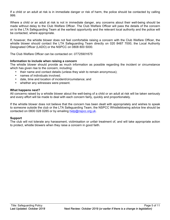If a child or an adult at risk is in immediate danger or risk of harm, the police should be contacted by calling 999.

Where a child or an adult at risk is not in immediate danger, any concerns about their well-being should be made without delay to the Club Welfare Officer. The Club Welfare Officer will pass the details of the concern on to the LTA Safeguarding Team at the earliest opportunity and the relevant local authority and the police will be contacted, where appropriate.

If, however, the whistle blower does not feel comfortable raising a concern with the Club Welfare Officer, the whistle blower should contact the LTA Safeguarding Team directly on 020 8487 7000, the Local Authority Designated Officer (LADO) or the NSPCC on 0808 800 5000.

The Club Welfare Officer can be contacted on: *07725901675*

#### **Information to include when raising a concern**

The whistle blower should provide as much information as possible regarding the incident or circumstance which has given rise to the concern, including:

- their name and contact details (unless they wish to remain anonymous);
	- names of individuals involved;
	- date, time and location of incident/circumstance; and
	- whether any witnesses were present.

#### **What happens next?**

All concerns raised by a whistle blower about the well-being of a child or an adult at risk will be taken seriously and every effort will be made to deal with each concern fairly, quickly and proportionately.

If the whistle blower does not believe that the concern has been dealt with appropriately and wishes to speak to someone outside the club or the LTA Safeguarding Team, the NSPCC Whistleblowing advice line should be contacted on 0800 028 0285 or by emailing help@nspcc.org.uk.

#### **Support**

The club will not tolerate any harassment, victimisation or unfair treatment of, and will take appropriate action to protect, whistle blowers when they raise a concern in good faith.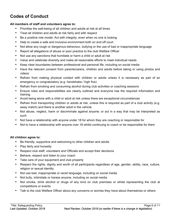# **Codes of Conduct**

#### **All members of staff and volunteers agree to:**

- Prioritise the well-being of all children and adults at risk at all times
- Treat all children and adults at risk fairly and with respect
- Be a positive role model. Act with integrity, even when no one is looking
- Help to create a safe and inclusive environment both on and off court
- Not allow any rough or dangerous behaviour, bullying or the use of bad or inappropriate language
- Report all allegations of abuse or poor practice to the club Welfare Officer
- Not use any sanctions that humiliate or harm a child or adult at risk
- Value and celebrate diversity and make all reasonable efforts to meet individual needs
- Keep clear boundaries between professional and personal life, including on social media
- Have the relevant consent from parents/carers, children and adults before taking or using photos and videos
- Refrain from making physical contact with children or adults unless it is necessary as part of an emergency or congratulatory (e.g. handshake / high five)
- Refrain from smoking and consuming alcohol during club activities or coaching sessions
- Ensure roles and responsibilities are clearly outlined and everyone has the required information and training
- Avoid being alone with a child or adult at risk unless there are exceptional circumstances
- Refrain from transporting children or adults at risk, unless this is required as part of a club activity (e.g. away match) and there is another adult in the vehicle
- Not abuse, neglect, harm or discriminate against anyone; or act in a way that may be interpreted as such
- Not have a relationship with anyone under 18 for whom they are coaching or responsible for
- Not to have a relationship with anyone over 18 whilst continuing to coach or be responsible for them

#### **All children agree to:**

- Be friendly, supportive and welcoming to other children and adults
- Play fairly and honestly
- Respect club staff, volunteers and Officials and accept their decisions
- Behave, respect and listen to your coach
- Take care of your equipment and club property
- Respect the rights, dignity and worth of all participants regardless of age, gender, ability, race, culture, religion or sexual identity
- Not use bad, inappropriate or racist language, including on social media
- Not bully, intimidate or harass anyone, including on social media
- Not smoke, drink alcohol or drugs of any kind on club premises or whilst representing the club at competitions or events
- Talk to the club Welfare Officer about any concerns or worries they have about themselves or others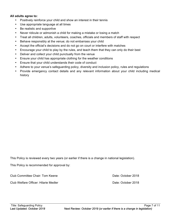#### **All adults agree to:**

- Positively reinforce your child and show an interest in their tennis
- Use appropriate language at all times
- Be realistic and supportive
- Never ridicule or admonish a child for making a mistake or losing a match
- Treat all children, adults, volunteers, coaches, officials and members of staff with respect
- Behave responsibly at the venue; do not embarrass your child
- Accept the official's decisions and do not go on court or interfere with matches
- Encourage your child to play by the rules, and teach them that they can only do their best
- Deliver and collect your child punctually from the venue
- Ensure your child has appropriate clothing for the weather conditions
- Ensure that your child understands their code of conduct
- Adhere to your venue's safeguarding policy, diversity and inclusion policy, rules and regulations
- Provide emergency contact details and any relevant information about your child including medical history

This Policy is reviewed every two years (or earlier if there is a change in national legislation).

This Policy is recommended for approval by:

Club Committee Chair: Tom Keene **Date: October 2018** 

Club Welfare Officer: Hilarie Medler Date: October 2018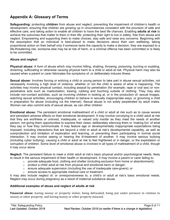# **Appendix A: Glossary of Terms**

**Safeguarding:** protecting **children** from abuse and neglect, preventing the impairment of children's health or development, ensuring that children are growing up in circumstances consistent with the provision of safe and effective care, and taking action to enable all children to have the best life chances. Enabling **adults at risk** to achieve the outcomes that matter to them in their life; protecting their right to live in safety, free from abuse and neglect. Empowering and supporting them to make choices, stay safe and raise any concerns. Beginning with the assumption that an individual is best-placed to make decisions about their own wellbeing, taking proportional action on their behalf only if someone lacks the capacity to make a decision, they are exposed to a life-threatening risk, someone else may be at risk of harm, or a criminal offence has been committed or is likely to be committed.

#### **Abuse and neglect**

**Physical abuse:** A form of abuse which may involve hitting, shaking, throwing, poisoning, burning or scalding, drowning, suffocating or otherwise causing physical harm to a child or adult at risk. Physical harm may also be caused when a parent or carer fabricates the symptoms of, or deliberately induces illness

**Sexual abuse:** Involves forcing or enticing a child or young person to take part in abuse sexual activities, not necessarily involving a high level of violence, whether or not the child is aware of what is happening. The activities may involve physical contact, including assault by penetration (for example, rape or oral sex) or nonpenetrative acts such as masturbation, kissing, rubbing and touching outside of clothing. They may also include non-contact activities, such as involving children in looking at, or in the production of, sexual images, watching sexual activities, encouraging children to behave in sexually inappropriate ways, or grooming a child in preparation for abuse (including via the internet). Sexual abuse is not solely perpetrated by adult males. Women can also commit acts of sexual abuse, as can other children

**Emotional abuse:** The persistent emotional maltreatment of a child or adult at risk such as to cause severe and persistent adverse effects on their emotional development. It may involve conveying to a child/ adult at risk that they are worthless or unloved, inadequate, or valued only insofar as they meet the needs of another person; not giving them opportunities to express their views; deliberately silencing them or 'making fun' of what they say or how they communicate. It may feature age or developmentally inappropriate expectations being imposed, including interactions that are beyond a child or adult at risk's developmental capability, as well as overprotection and limitation of exploration and learning, or preventing them participating in normal social interaction. It may involve seeing or hearing the ill-treatment of another. It may involve serious bullying (including cyber bullying), causing a child or adult at risk to feel frightened or in danger, or the exploitation or corruption of children. Some level of emotional abuse is involved in all types of maltreatment of a child, though it may occur alone.

**Neglect:** The persistent failure to meet a child/ adult at risk's basic physical and/or psychological needs, likely to result in the serious impairment of their health or development. It may involve a parent or carer failing to:

- $\circ$  provide adequate food, clothing and shelter (including exclusion from home or abandonment);
- o protect a child/ adult at risk from physical and emotional harm or danger;
- $\circ$  ensure adequate supervision (including the use of inadequate care-givers); or
- o ensure access to appropriate medical care or treatment.

It may also include neglect of, or unresponsiveness to, a child's or adult at risk's basic emotional needs. Neglect may occur during pregnancy as a result of maternal substance abuse.

#### **Additional examples of abuse and neglect of adults at risk**

**Financial abuse**: having money or property stolen; being defrauded; being put under pressure in relation to money or other property; and having money or other property misused.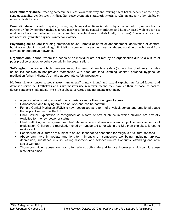**Discriminatory abuse**: treating someone in a less favourable way and causing them harm, because of their age, gender, sexuality, gender identity, disability, socio-economic status, ethnic origin, religion and any other visible or non-visible difference.

**Domestic abuse**: includes physical, sexual, psychological or financial abuse by someone who is, or has been a partner or family member. Includes forced marriage, female genital mutilation and honour-based violence (an act of violence based on the belief that the person has brought shame on their family or culture). Domestic abuse does not necessarily involve physical contact or violence.

**Psychological abuse:** including emotional abuse, threats of harm or abandonment, deprivation of contact, humiliation, blaming, controlling, intimidation, coercion, harassment, verbal abuse, isolation or withdrawal from services or supportive networks.

**Organisational abuse**: where the needs of an individual are not met by an organisation due to a culture of poor practice or abusive behaviour within the organisation.

**Self-neglect:** behaviour which threatens an adult's personal health or safety (but not that of others). Includes an adult's decision to not provide themselves with adequate food, clothing, shelter, personal hygiene, or medication (when indicated), or take appropriate safety precautions

**Modern slavery**: encompasses slavery, human trafficking, criminal and sexual exploitation, forced labour and domestic servitude. Traffickers and slave masters use whatever means they have at their disposal to coerce, deceive and force individuals into a life of abuse, servitude and inhumane treatment.

- A person who is being abused may experience more than one type of abuse
- Harassment, and bullying are also abusive and can be harmful
- Female Genital Mutilation (FGM) is now recognised as a form of physical, sexual and emotional abuse that is practised across the UK
- Child Sexual Exploitation is recognised as a form of sexual abuse in which children are sexually exploited for money, power or status
- Child trafficking is recognised as child abuse where children are often subject to multiple forms of exploitation. Children are recruited, moved or transported to, or within the UK, then exploited, forced to work or sold
- People from all cultures are subject to abuse. It cannot be condoned for religious or cultural reasons
- Abuse can have immediate and long-term impacts on someone's well-being, including anxiety, depression, substance misuse, eating disorders and self-destructive Conducts, offending and antisocial Conduct
- Those committing abuse are most often adults, both male and female. However, child-to-child abuse also takes place.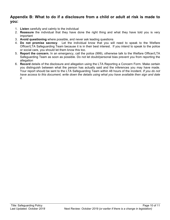### **Appendix B: What to do if a disclosure from a child or adult at risk is made to you:**

- 1. **Listen** carefully and calmly to the individual
- 2. **Reassure** the individual that they have done the right thing and what they have told you is very important
- 3. **Avoid questioning** where possible, and never ask leading questions
- 4. **Do not promise secrecy**. Let the individual know that you will need to speak to the Welfare Officer/LTA Safeguarding Team because it is in their best interest. If you intend to speak to the police or social care, you should let them know this too.
- 5. **Report the concern.** In an emergency, call the police (999), otherwise talk to the Welfare Officer/LTA Safeguarding Team as soon as possible. Do not let doubt/personal bias prevent you from reporting the allegation
- 6. **Record** details of the disclosure and allegation using the LTA Reporting a Concern Form*.* Make certain you distinguish between what the person has actually said and the inferences you may have made. Your report should be sent to the LTA Safeguarding Team within 48 hours of the incident. *If you do not have access to this document, write down the details using what you have available then sign and date it.*